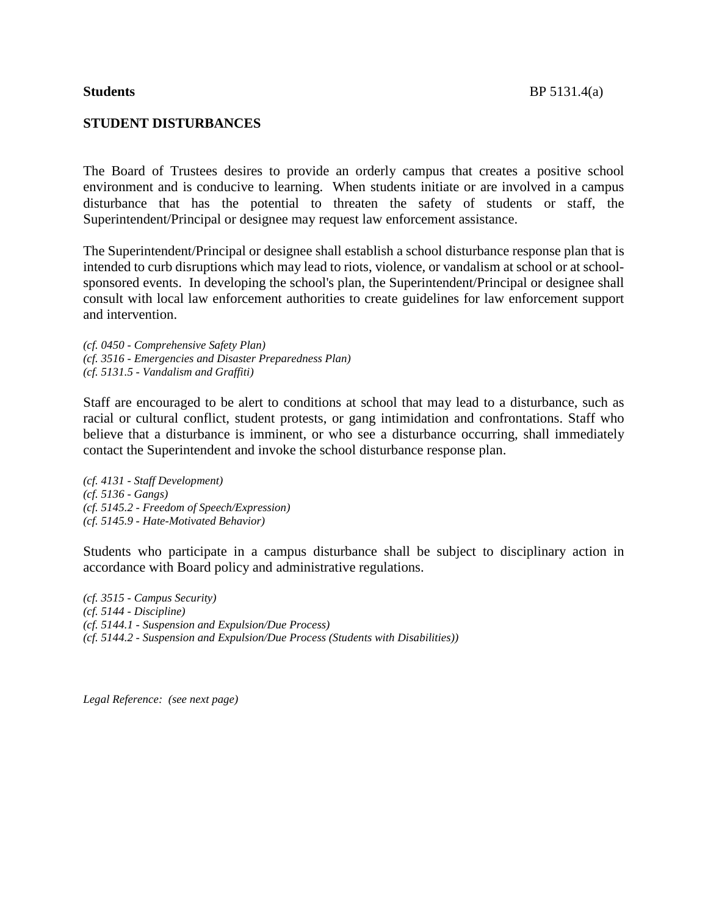## **STUDENT DISTURBANCES**

The Board of Trustees desires to provide an orderly campus that creates a positive school environment and is conducive to learning. When students initiate or are involved in a campus disturbance that has the potential to threaten the safety of students or staff, the Superintendent/Principal or designee may request law enforcement assistance.

The Superintendent/Principal or designee shall establish a school disturbance response plan that is intended to curb disruptions which may lead to riots, violence, or vandalism at school or at schoolsponsored events. In developing the school's plan, the Superintendent/Principal or designee shall consult with local law enforcement authorities to create guidelines for law enforcement support and intervention.

*(cf. 0450 - Comprehensive Safety Plan) (cf. 3516 - Emergencies and Disaster Preparedness Plan) (cf. 5131.5 - Vandalism and Graffiti)*

Staff are encouraged to be alert to conditions at school that may lead to a disturbance, such as racial or cultural conflict, student protests, or gang intimidation and confrontations. Staff who believe that a disturbance is imminent, or who see a disturbance occurring, shall immediately contact the Superintendent and invoke the school disturbance response plan.

*(cf. 4131 - Staff Development) (cf. 5136 - Gangs) (cf. 5145.2 - Freedom of Speech/Expression) (cf. 5145.9 - Hate-Motivated Behavior)*

Students who participate in a campus disturbance shall be subject to disciplinary action in accordance with Board policy and administrative regulations.

*(cf. 3515 - Campus Security) (cf. 5144 - Discipline) (cf. 5144.1 - Suspension and Expulsion/Due Process) (cf. 5144.2 - Suspension and Expulsion/Due Process (Students with Disabilities))*

*Legal Reference: (see next page)*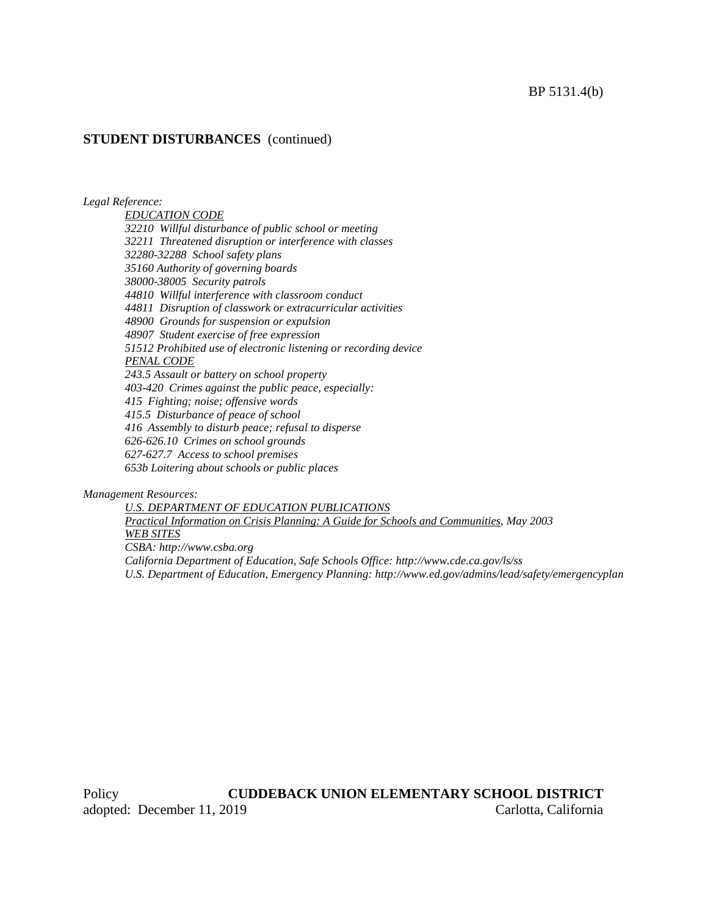#### BP 5131.4(b)

### **STUDENT DISTURBANCES** (continued)

*Legal Reference:*

*EDUCATION CODE 32210 Willful disturbance of public school or meeting 32211 Threatened disruption or interference with classes 32280-32288 School safety plans 35160 Authority of governing boards 38000-38005 Security patrols 44810 Willful interference with classroom conduct 44811 Disruption of classwork or extracurricular activities 48900 Grounds for suspension or expulsion 48907 Student exercise of free expression 51512 Prohibited use of electronic listening or recording device PENAL CODE 243.5 Assault or battery on school property 403-420 Crimes against the public peace, especially: 415 Fighting; noise; offensive words 415.5 Disturbance of peace of school 416 Assembly to disturb peace; refusal to disperse 626-626.10 Crimes on school grounds 627-627.7 Access to school premises 653b Loitering about schools or public places*

*Management Resources:*

*U.S. DEPARTMENT OF EDUCATION PUBLICATIONS Practical Information on Crisis Planning: A Guide for Schools and Communities, May 2003 WEB SITES CSBA: http://www.csba.org California Department of Education, Safe Schools Office: http://www.cde.ca.gov/ls/ss U.S. Department of Education, Emergency Planning: http://www.ed.gov/admins/lead/safety/emergencyplan*

Policy **CUDDEBACK UNION ELEMENTARY SCHOOL DISTRICT** adopted: December 11, 2019 Carlotta, California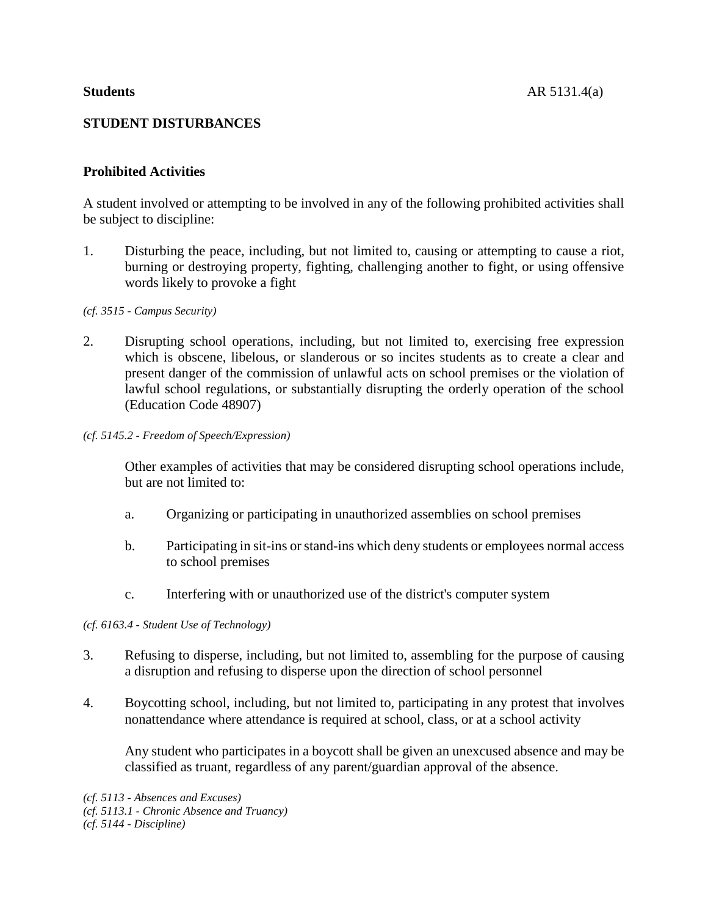# **STUDENT DISTURBANCES**

## **Prohibited Activities**

A student involved or attempting to be involved in any of the following prohibited activities shall be subject to discipline:

1. Disturbing the peace, including, but not limited to, causing or attempting to cause a riot, burning or destroying property, fighting, challenging another to fight, or using offensive words likely to provoke a fight

#### *(cf. 3515 - Campus Security)*

- 2. Disrupting school operations, including, but not limited to, exercising free expression which is obscene, libelous, or slanderous or so incites students as to create a clear and present danger of the commission of unlawful acts on school premises or the violation of lawful school regulations, or substantially disrupting the orderly operation of the school (Education Code 48907)
- *(cf. 5145.2 - Freedom of Speech/Expression)*

Other examples of activities that may be considered disrupting school operations include, but are not limited to:

- a. Organizing or participating in unauthorized assemblies on school premises
- b. Participating in sit-ins or stand-ins which deny students or employees normal access to school premises
- c. Interfering with or unauthorized use of the district's computer system

## *(cf. 6163.4 - Student Use of Technology)*

- 3. Refusing to disperse, including, but not limited to, assembling for the purpose of causing a disruption and refusing to disperse upon the direction of school personnel
- 4. Boycotting school, including, but not limited to, participating in any protest that involves nonattendance where attendance is required at school, class, or at a school activity

Any student who participates in a boycott shall be given an unexcused absence and may be classified as truant, regardless of any parent/guardian approval of the absence.